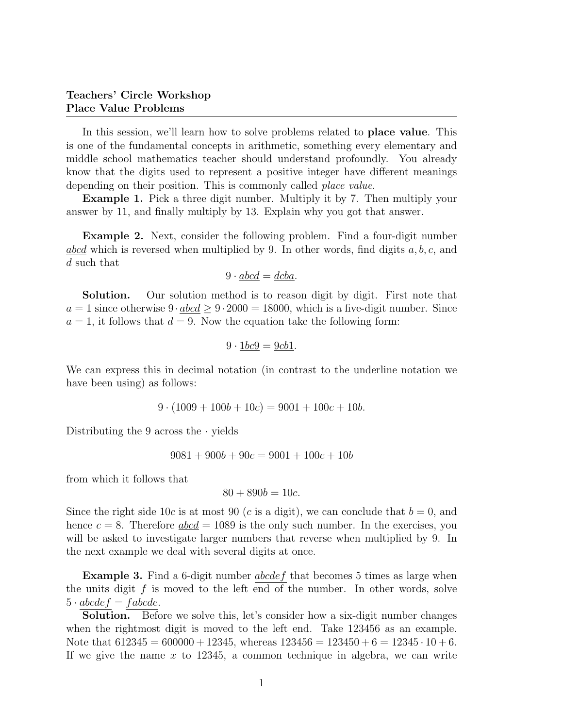# Teachers' Circle Workshop Place Value Problems

In this session, we'll learn how to solve problems related to place value. This is one of the fundamental concepts in arithmetic, something every elementary and middle school mathematics teacher should understand profoundly. You already know that the digits used to represent a positive integer have different meanings depending on their position. This is commonly called *place value*.

**Example 1.** Pick a three digit number. Multiply it by 7. Then multiply your answer by 11, and finally multiply by 13. Explain why you got that answer.

Example 2. Next, consider the following problem. Find a four-digit number  $abcd$  which is reversed when multiplied by 9. In other words, find digits  $a, b, c$ , and d such that

$$
9 \cdot \underline{abcd} = \underline{dcba}.
$$

Solution. Our solution method is to reason digit by digit. First note that  $a = 1$  since otherwise  $9 \cdot abcd \ge 9 \cdot 2000 = 18000$ , which is a five-digit number. Since  $a = 1$ , it follows that  $d = 9$ . Now the equation take the following form:

$$
9 \cdot \underline{1bc9} = \underline{9cb1}.
$$

We can express this in decimal notation (in contrast to the underline notation we have been using) as follows:

$$
9 \cdot (1009 + 100b + 10c) = 9001 + 100c + 10b.
$$

Distributing the 9 across the  $\cdot$  yields

$$
9081 + 900b + 90c = 9001 + 100c + 10b
$$

from which it follows that

$$
80 + 890b = 10c.
$$

Since the right side 10c is at most 90 (c is a digit), we can conclude that  $b = 0$ , and hence  $c = 8$ . Therefore  $abcd = 1089$  is the only such number. In the exercises, you will be asked to investigate larger numbers that reverse when multiplied by 9. In the next example we deal with several digits at once.

**Example 3.** Find a 6-digit number  $abcdef$  that becomes 5 times as large when the units digit  $f$  is moved to the left end of the number. In other words, solve  $5 \cdot abcdef = fabcde.$ 

Solution. Before we solve this, let's consider how a six-digit number changes when the rightmost digit is moved to the left end. Take 123456 as an example. Note that  $612345 = 600000 + 12345$ , whereas  $123456 = 123450 + 6 = 12345 \cdot 10 + 6$ . If we give the name x to 12345, a common technique in algebra, we can write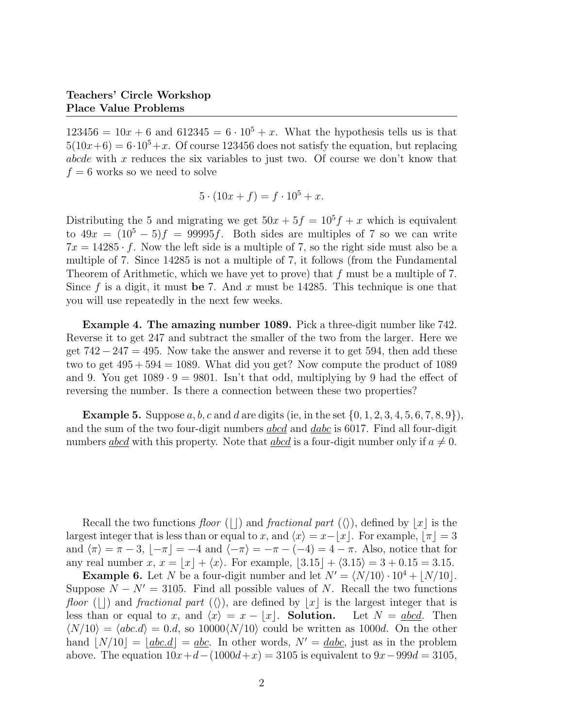$123456 = 10x + 6$  and  $612345 = 6 \cdot 10^5 + x$ . What the hypothesis tells us is that  $5(10x+6) = 6.10<sup>5</sup> + x$ . Of course 123456 does not satisfy the equation, but replacing abcde with x reduces the six variables to just two. Of course we don't know that  $f = 6$  works so we need to solve

$$
5 \cdot (10x + f) = f \cdot 10^5 + x.
$$

Distributing the 5 and migrating we get  $50x + 5f = 10^5 f + x$  which is equivalent to  $49x = (10^5 - 5)f = 99995f$ . Both sides are multiples of 7 so we can write  $7x = 14285 \cdot f$ . Now the left side is a multiple of 7, so the right side must also be a multiple of 7. Since 14285 is not a multiple of 7, it follows (from the Fundamental Theorem of Arithmetic, which we have yet to prove) that f must be a multiple of 7. Since f is a digit, it must be 7. And x must be 14285. This technique is one that you will use repeatedly in the next few weeks.

Example 4. The amazing number 1089. Pick a three-digit number like 742. Reverse it to get 247 and subtract the smaller of the two from the larger. Here we get  $742 - 247 = 495$ . Now take the answer and reverse it to get 594, then add these two to get  $495 + 594 = 1089$ . What did you get? Now compute the product of 1089 and 9. You get  $1089 \cdot 9 = 9801$ . Isn't that odd, multiplying by 9 had the effect of reversing the number. Is there a connection between these two properties?

**Example 5.** Suppose a, b, c and d are digits (ie, in the set  $\{0, 1, 2, 3, 4, 5, 6, 7, 8, 9\}$ ), and the sum of the two four-digit numbers *abcd* and *dabc* is 6017. Find all four-digit numbers <u>abcd</u> with this property. Note that <u>abcd</u> is a four-digit number only if  $a \neq 0$ .

Recall the two functions floor (||) and fractional part ( $\langle \rangle$ ), defined by  $|x|$  is the largest integer that is less than or equal to x, and  $\langle x \rangle = x-\vert x \vert$ . For example,  $\vert \pi \vert = 3$ and  $\langle \pi \rangle = \pi - 3$ ,  $\langle -\pi \rangle = -4$  and  $\langle -\pi \rangle = -\pi - (-4) = 4 - \pi$ . Also, notice that for any real number x,  $x = |x| + \langle x \rangle$ . For example,  $|3.15| + \langle 3.15 \rangle = 3 + 0.15 = 3.15$ .

**Example 6.** Let N be a four-digit number and let  $N' = \langle N/10 \rangle \cdot 10^4 + |N/10|$ . Suppose  $N - N' = 3105$ . Find all possible values of N. Recall the two functions floor (||) and fractional part ( $\langle \rangle$ ), are defined by  $|x|$  is the largest integer that is less than or equal to x, and  $\langle x \rangle = x - |x|$ . Solution. Let  $N = abcd$ . Then  $\langle N/10 \rangle = \langle abc.d \rangle = 0.d$ , so  $10000\langle N/10 \rangle$  could be written as 1000d. On the other hand  $|N/10| = |abc.d| = abc$ . In other words,  $N' = dabc$ , just as in the problem above. The equation  $10x+d-(1000d+x) = 3105$  is equivalent to  $9x-999d = 3105$ ,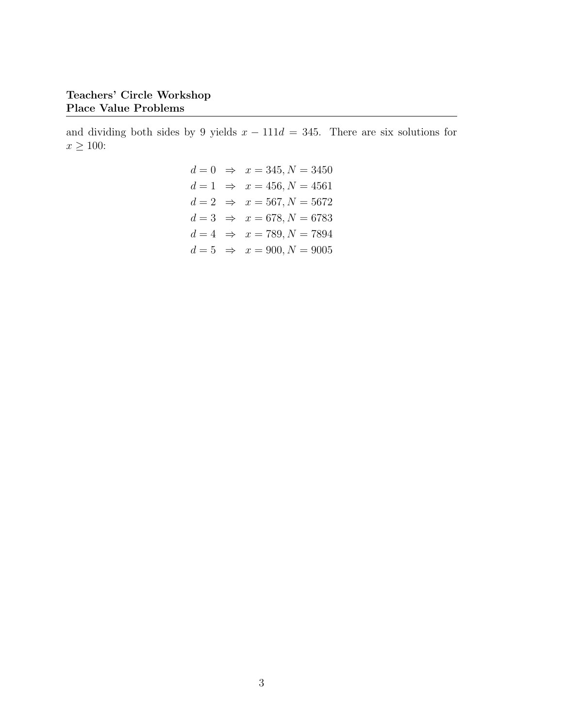and dividing both sides by 9 yields  $x - 111d = 345$ . There are six solutions for  $x \geq 100$ :

$$
d = 0 \Rightarrow x = 345, N = 3450
$$
  
\n
$$
d = 1 \Rightarrow x = 456, N = 4561
$$
  
\n
$$
d = 2 \Rightarrow x = 567, N = 5672
$$
  
\n
$$
d = 3 \Rightarrow x = 678, N = 6783
$$
  
\n
$$
d = 4 \Rightarrow x = 789, N = 7894
$$
  
\n
$$
d = 5 \Rightarrow x = 900, N = 9005
$$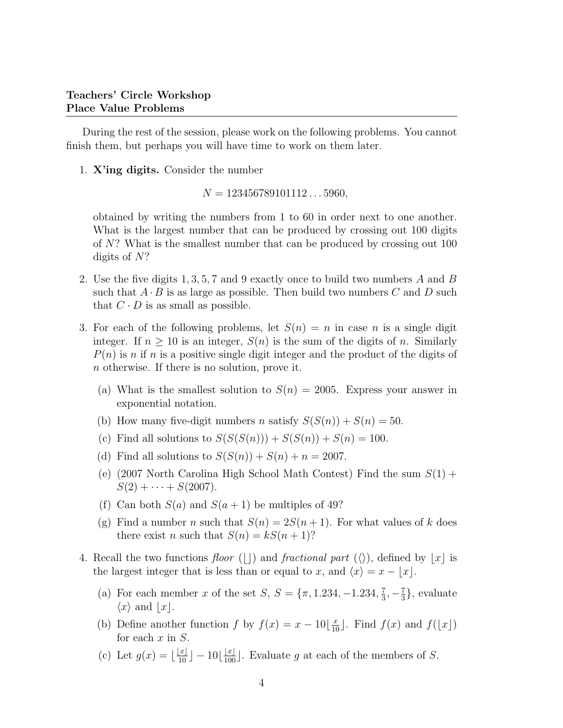During the rest of the session, please work on the following problems. You cannot finish them, but perhaps you will have time to work on them later.

1. X'ing digits. Consider the number

 $N = 123456789101112...5960$ 

obtained by writing the numbers from 1 to 60 in order next to one another. What is the largest number that can be produced by crossing out 100 digits of N? What is the smallest number that can be produced by crossing out 100 digits of N?

- 2. Use the five digits 1, 3, 5, 7 and 9 exactly once to build two numbers A and B such that  $A \cdot B$  is as large as possible. Then build two numbers C and D such that  $C \cdot D$  is as small as possible.
- 3. For each of the following problems, let  $S(n) = n$  in case n is a single digit integer. If  $n \geq 10$  is an integer,  $S(n)$  is the sum of the digits of n. Similarly  $P(n)$  is n if n is a positive single digit integer and the product of the digits of n otherwise. If there is no solution, prove it.
	- (a) What is the smallest solution to  $S(n) = 2005$ . Express your answer in exponential notation.
	- (b) How many five-digit numbers *n* satisfy  $S(S(n)) + S(n) = 50$ .
	- (c) Find all solutions to  $S(S(S(n))) + S(S(n)) + S(n) = 100$ .
	- (d) Find all solutions to  $S(S(n)) + S(n) + n = 2007$ .
	- (e) (2007 North Carolina High School Math Contest) Find the sum  $S(1)$  +  $S(2) + \cdots + S(2007)$ .
	- (f) Can both  $S(a)$  and  $S(a + 1)$  be multiples of 49?
	- (g) Find a number n such that  $S(n) = 2S(n+1)$ . For what values of k does there exist *n* such that  $S(n) = kS(n+1)$ ?
- 4. Recall the two functions floor (||) and fractional part ( $\langle \rangle$ ), defined by |x| is the largest integer that is less than or equal to x, and  $\langle x \rangle = x - \lfloor x \rfloor$ .
	- (a) For each member x of the set  $S, S = \{\pi, 1.234, -1.234, \frac{7}{3}\}$  $\frac{7}{3}, -\frac{7}{3}$  $\frac{7}{3}$ , evaluate  $\langle x \rangle$  and  $|x|$ .
	- (b) Define another function f by  $f(x) = x 10\left[\frac{x}{10}\right]$ . Find  $f(x)$  and  $f(\lfloor x \rfloor)$ for each  $x$  in  $S$ .
	- (c) Let  $g(x) = \lfloor \frac{|x|}{10} \rfloor 10 \lfloor \frac{|x|}{100} \rfloor$ . Evaluate g at each of the members of S.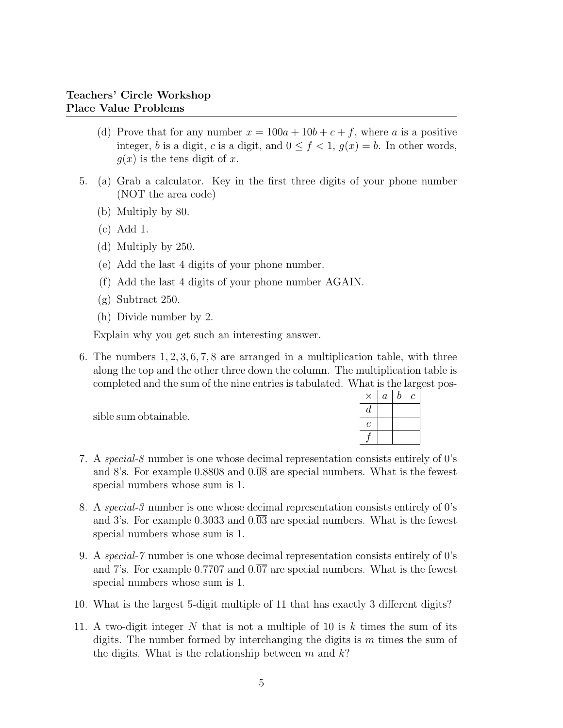- (d) Prove that for any number  $x = 100a + 10b + c + f$ , where a is a positive integer, b is a digit, c is a digit, and  $0 \le f < 1$ ,  $g(x) = b$ . In other words,  $q(x)$  is the tens digit of x.
- 5. (a) Grab a calculator. Key in the first three digits of your phone number (NOT the area code)
	- (b) Multiply by 80.
	- (c) Add 1.
	- (d) Multiply by 250.
	- (e) Add the last 4 digits of your phone number.
	- (f) Add the last 4 digits of your phone number AGAIN.
	- (g) Subtract 250.
	- (h) Divide number by 2.

Explain why you get such an interesting answer.

6. The numbers 1, 2, 3, 6, 7, 8 are arranged in a multiplication table, with three along the top and the other three down the column. The multiplication table is completed and the sum of the nine entries is tabulated. What is the largest pos-

sible sum obtainable.

|   | $\boldsymbol{a}$ | $\it b$ | с |
|---|------------------|---------|---|
| d |                  |         |   |
| е |                  |         |   |
|   |                  |         |   |

- 7. A special-8 number is one whose decimal representation consists entirely of 0's and 8's. For example  $0.8808$  and  $0.\overline{08}$  are special numbers. What is the fewest special numbers whose sum is 1.
- 8. A special-3 number is one whose decimal representation consists entirely of 0's and 3's. For example  $0.3033$  and  $0.\overline{03}$  are special numbers. What is the fewest special numbers whose sum is 1.
- 9. A special-7 number is one whose decimal representation consists entirely of 0's and 7's. For example  $0.7707$  and  $0.\overline{07}$  are special numbers. What is the fewest special numbers whose sum is 1.
- 10. What is the largest 5-digit multiple of 11 that has exactly 3 different digits?
- 11. A two-digit integer N that is not a multiple of 10 is  $k$  times the sum of its digits. The number formed by interchanging the digits is  $m$  times the sum of the digits. What is the relationship between m and  $k$ ?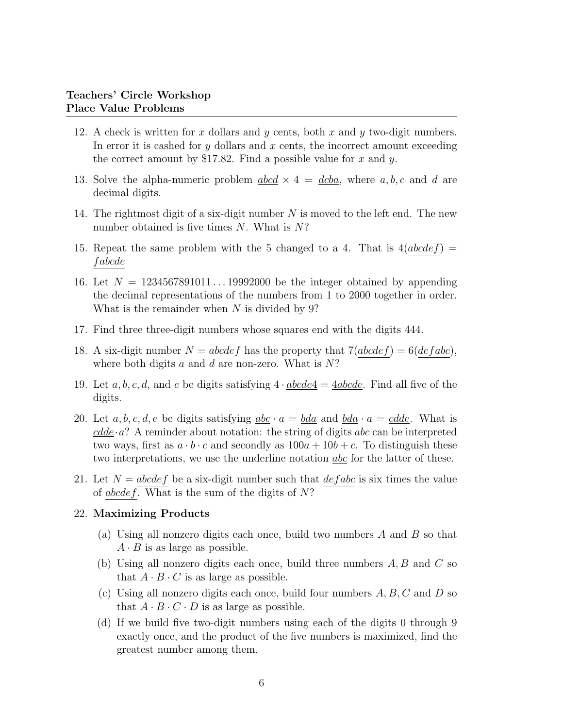- 12. A check is written for x dollars and y cents, both x and y two-digit numbers. In error it is cashed for  $y$  dollars and  $x$  cents, the incorrect amount exceeding the correct amount by \$17.82. Find a possible value for x and y.
- 13. Solve the alpha-numeric problem  $abcd \times 4 = dcba$ , where a, b, c and d are decimal digits.
- 14. The rightmost digit of a six-digit number  $N$  is moved to the left end. The new number obtained is five times  $N$ . What is  $N$ ?
- 15. Repeat the same problem with the 5 changed to a 4. That is  $4(abcdef)$  = f abcde
- 16. Let  $N = 1234567891011...19992000$  be the integer obtained by appending the decimal representations of the numbers from 1 to 2000 together in order. What is the remainder when  $N$  is divided by 9?
- 17. Find three three-digit numbers whose squares end with the digits 444.
- 18. A six-digit number  $N = abcdef$  has the property that  $7(abcdef) = 6(defabc)$ , where both digits a and d are non-zero. What is  $N$ ?
- 19. Let a, b, c, d, and e be digits satisfying  $4 \cdot abcde4 = 4abcde$ . Find all five of the digits.
- 20. Let a, b, c, d, e be digits satisfying  $abc \cdot a = bda$  and  $bda \cdot a = cdde$ . What is  $\text{c}dde \cdot a$ ? A reminder about notation: the string of digits abc can be interpreted two ways, first as  $a \cdot b \cdot c$  and secondly as  $100a + 10b + c$ . To distinguish these two interpretations, we use the underline notation <u>abc</u> for the latter of these.
- 21. Let  $N = abcdef$  be a six-digit number such that  $defabc$  is six times the value of abcdef. What is the sum of the digits of  $N$ ?

### 22. Maximizing Products

- (a) Using all nonzero digits each once, build two numbers A and B so that  $A \cdot B$  is as large as possible.
- (b) Using all nonzero digits each once, build three numbers  $A, B$  and  $C$  so that  $A \cdot B \cdot C$  is as large as possible.
- (c) Using all nonzero digits each once, build four numbers  $A, B, C$  and D so that  $A \cdot B \cdot C \cdot D$  is as large as possible.
- (d) If we build five two-digit numbers using each of the digits 0 through 9 exactly once, and the product of the five numbers is maximized, find the greatest number among them.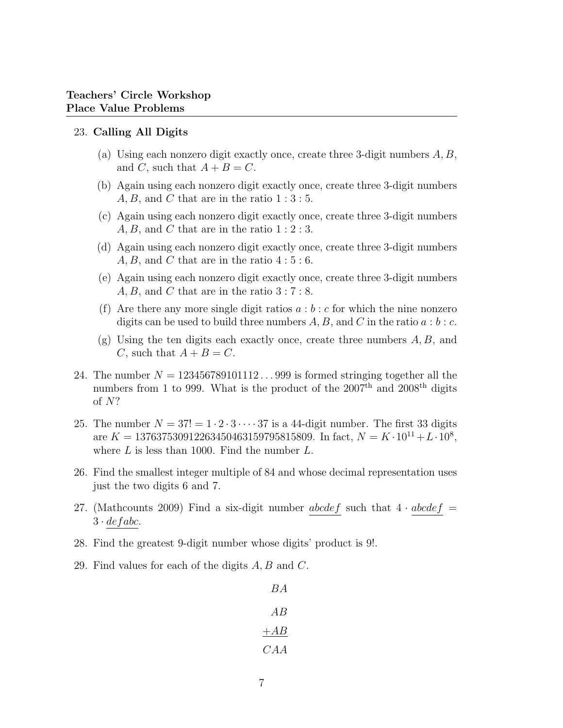#### 23. Calling All Digits

- (a) Using each nonzero digit exactly once, create three 3-digit numbers  $A, B$ , and C, such that  $A + B = C$ .
- (b) Again using each nonzero digit exactly once, create three 3-digit numbers  $A, B$ , and C that are in the ratio  $1:3:5$ .
- (c) Again using each nonzero digit exactly once, create three 3-digit numbers  $A, B$ , and C that are in the ratio  $1:2:3$ .
- (d) Again using each nonzero digit exactly once, create three 3-digit numbers  $A, B$ , and C that are in the ratio  $4:5:6$ .
- (e) Again using each nonzero digit exactly once, create three 3-digit numbers  $A, B$ , and C that are in the ratio  $3:7:8$ .
- (f) Are there any more single digit ratios  $a:b:c$  for which the nine nonzero digits can be used to build three numbers  $A, B$ , and C in the ratio  $a : b : c$ .
- (g) Using the ten digits each exactly once, create three numbers A, B, and C, such that  $A + B = C$ .
- 24. The number  $N = 123456789101112...999$  is formed stringing together all the numbers from 1 to 999. What is the product of the  $2007<sup>th</sup>$  and  $2008<sup>th</sup>$  digits of N?
- 25. The number  $N = 37! = 1 \cdot 2 \cdot 3 \cdot \cdots 37$  is a 44-digit number. The first 33 digits are  $K = 137637530912263450463159795815809$ . In fact,  $N = K \cdot 10^{11} + L \cdot 10^8$ , where  $L$  is less than 1000. Find the number  $L$ .
- 26. Find the smallest integer multiple of 84 and whose decimal representation uses just the two digits 6 and 7.
- 27. (Mathcounts 2009) Find a six-digit number abcdef such that  $4 \cdot abcdef =$  $3 \cdot de fabc$ .
- 28. Find the greatest 9-digit number whose digits' product is 9!.
- 29. Find values for each of the digits  $A, B$  and  $C$ .

BA AB  $+AB$ CAA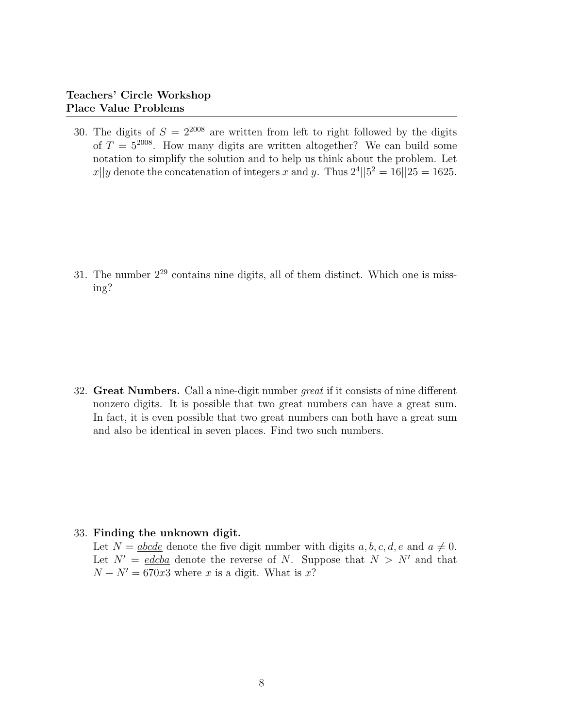30. The digits of  $S = 2^{2008}$  are written from left to right followed by the digits of  $T = 5^{2008}$ . How many digits are written altogether? We can build some notation to simplify the solution and to help us think about the problem. Let  $x||y$  denote the concatenation of integers x and y. Thus  $2^4||5^2 = 16||25 = 1625$ .

31. The number  $2^{29}$  contains nine digits, all of them distinct. Which one is missing?

32. Great Numbers. Call a nine-digit number great if it consists of nine different nonzero digits. It is possible that two great numbers can have a great sum. In fact, it is even possible that two great numbers can both have a great sum and also be identical in seven places. Find two such numbers.

### 33. Finding the unknown digit.

Let  $N = abcde$  denote the five digit number with digits a, b, c, d, e and  $a \neq 0$ . Let  $N' = edcba$  denote the reverse of N. Suppose that  $N > N'$  and that  $N - N' = 670x3$  where x is a digit. What is x?